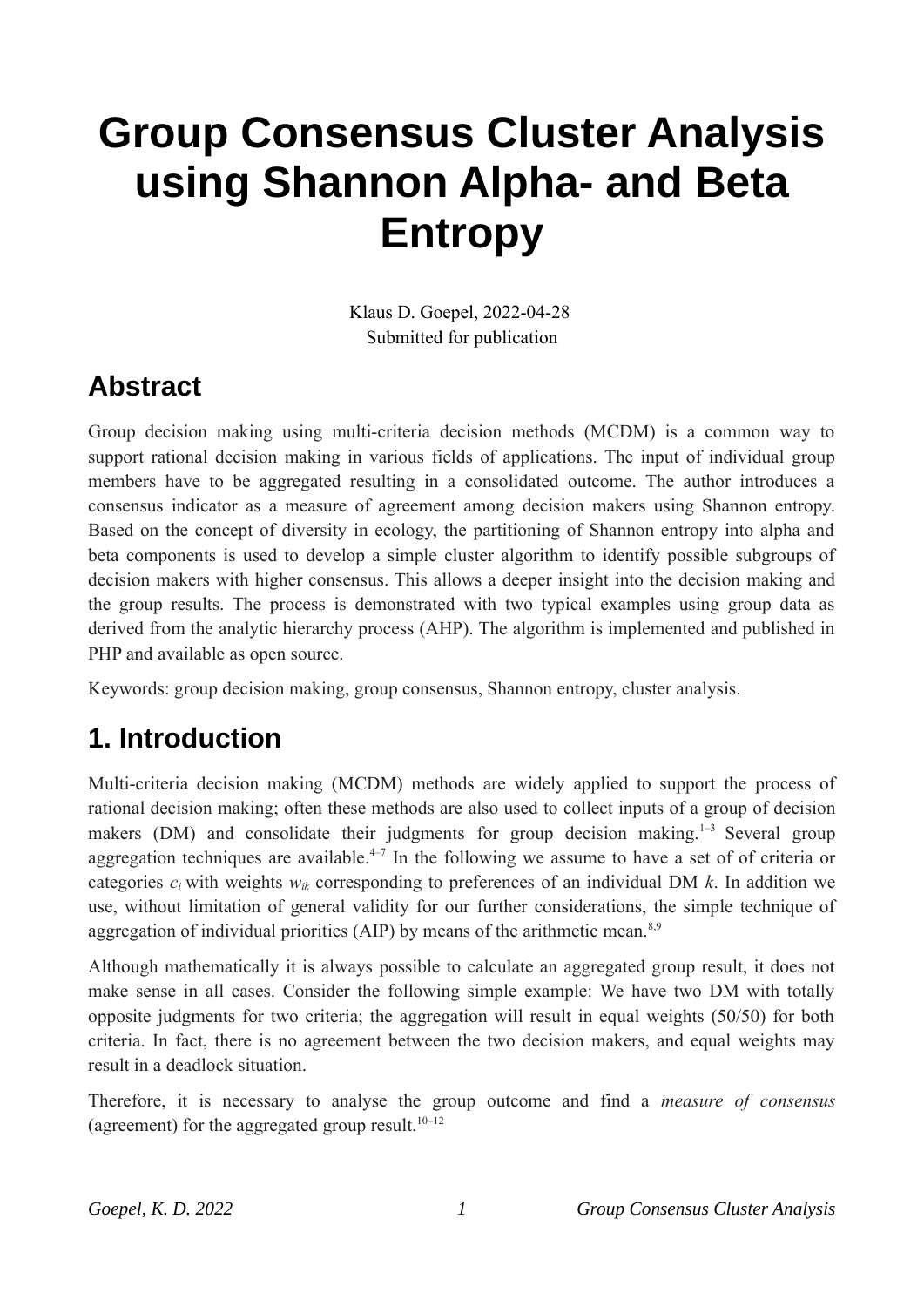# **Group Consensus Cluster Analysis using Shannon Alpha- and Beta Entropy**

Klaus D. Goepel, 2022-04-28 Submitted for publication

### **Abstract**

Group decision making using multi-criteria decision methods (MCDM) is a common way to support rational decision making in various fields of applications. The input of individual group members have to be aggregated resulting in a consolidated outcome. The author introduces a consensus indicator as a measure of agreement among decision makers using Shannon entropy. Based on the concept of diversity in ecology, the partitioning of Shannon entropy into alpha and beta components is used to develop a simple cluster algorithm to identify possible subgroups of decision makers with higher consensus. This allows a deeper insight into the decision making and the group results. The process is demonstrated with two typical examples using group data as derived from the analytic hierarchy process (AHP). The algorithm is implemented and published in PHP and available as open source.

Keywords: group decision making, group consensus, Shannon entropy, cluster analysis.

# **1. Introduction**

Multi-criteria decision making (MCDM) methods are widely applied to support the process of rational decision making; often these methods are also used to collect inputs of a group of decision makers (DM) and consolidate their judgments for group decision making.<sup>1-3</sup> Several group aggregation techniques are available.<sup> $4-7$ </sup> In the following we assume to have a set of of criteria or categories  $c_i$  with weights  $w_{ik}$  corresponding to preferences of an individual DM  $k$ . In addition we use, without limitation of general validity for our further considerations, the simple technique of aggregation of individual priorities (AIP) by means of the arithmetic mean.<sup>8,9</sup>

Although mathematically it is always possible to calculate an aggregated group result, it does not make sense in all cases. Consider the following simple example: We have two DM with totally opposite judgments for two criteria; the aggregation will result in equal weights (50/50) for both criteria. In fact, there is no agreement between the two decision makers, and equal weights may result in a deadlock situation.

Therefore, it is necessary to analyse the group outcome and find a *measure of consensus* (agreement) for the aggregated group result.<sup>10–12</sup>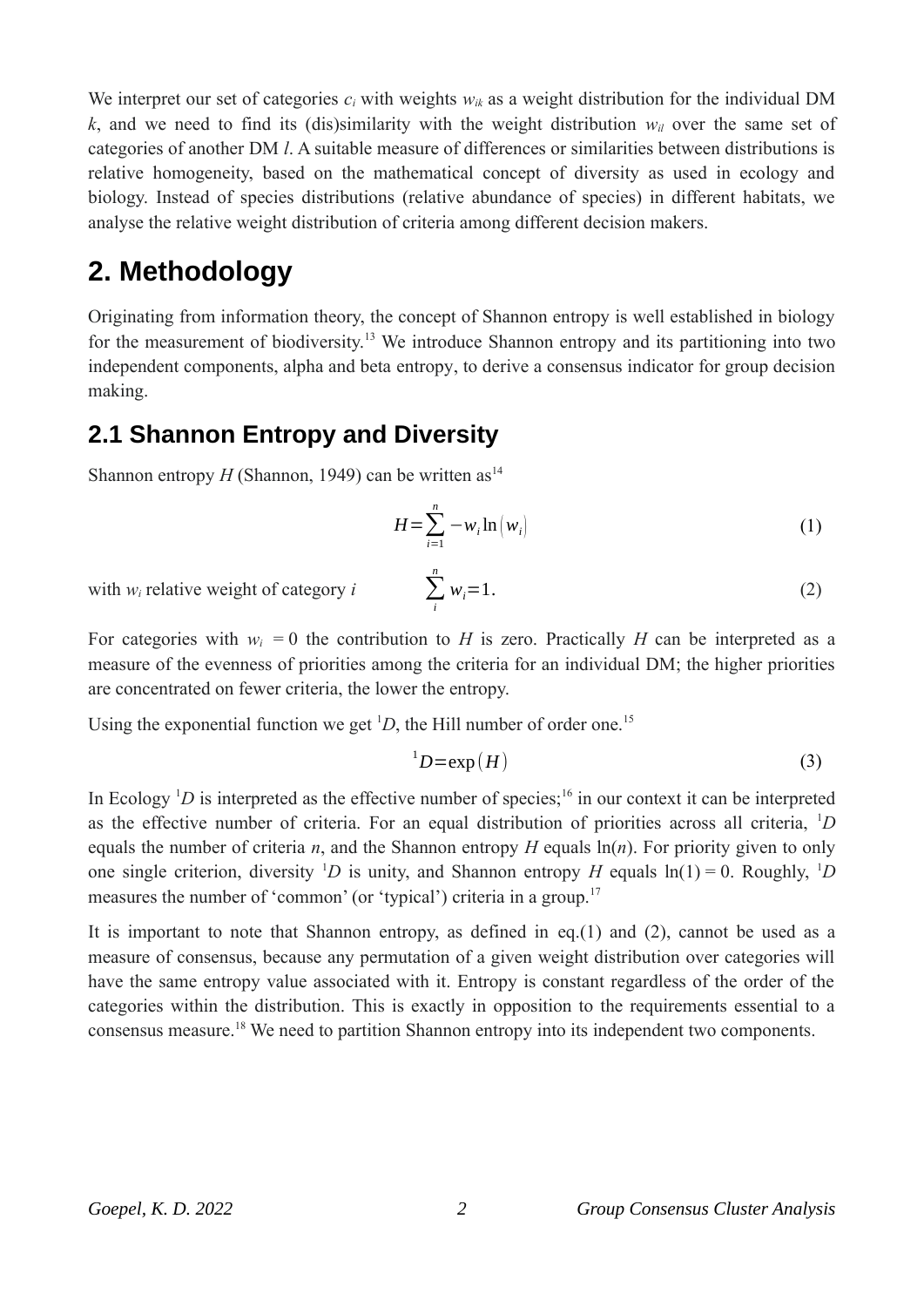We interpret our set of categories  $c_i$  with weights  $w_{ik}$  as a weight distribution for the individual DM  $k$ , and we need to find its (dis)similarity with the weight distribution  $w_i$  over the same set of categories of another DM *l*. A suitable measure of differences or similarities between distributions is relative homogeneity, based on the mathematical concept of diversity as used in ecology and biology. Instead of species distributions (relative abundance of species) in different habitats, we analyse the relative weight distribution of criteria among different decision makers.

# **2. Methodology**

Originating from information theory, the concept of Shannon entropy is well established in biology for the measurement of biodiversity.<sup>13</sup> We introduce Shannon entropy and its partitioning into two independent components, alpha and beta entropy, to derive a consensus indicator for group decision making.

### **2.1 Shannon Entropy and Diversity**

Shannon entropy  $H$  (Shannon, 1949) can be written as<sup>14</sup>

$$
H = \sum_{i=1}^{n} -w_i \ln(w_i)
$$
 (1)

 $w_i = 1.$  (2)

with  $w_i$  relative weight of category  $i$ 

For categories with  $w_i = 0$  the contribution to *H* is zero. Practically *H* can be interpreted as a measure of the evenness of priorities among the criteria for an individual DM; the higher priorities are concentrated on fewer criteria, the lower the entropy.

*i*

*n*

Using the exponential function we get <sup>1</sup>D, the Hill number of order one.<sup>15</sup>

$$
{}^{1}D = \exp(H) \tag{3}
$$

In Ecology  ${}^{1}D$  is interpreted as the effective number of species;<sup>16</sup> in our context it can be interpreted as the effective number of criteria. For an equal distribution of priorities across all criteria, <sup>1</sup>*D* equals the number of criteria *n*, and the Shannon entropy *H* equals  $\ln(n)$ . For priority given to only one single criterion, diversity <sup>1</sup>D is unity, and Shannon entropy *H* equals  $ln(1) = 0$ . Roughly, <sup>1</sup>D measures the number of 'common' (or 'typical') criteria in a group.<sup>17</sup>

It is important to note that Shannon entropy, as defined in eq.(1) and (2), cannot be used as a measure of consensus, because any permutation of a given weight distribution over categories will have the same entropy value associated with it. Entropy is constant regardless of the order of the categories within the distribution. This is exactly in opposition to the requirements essential to a consensus measure.<sup>18</sup> We need to partition Shannon entropy into its independent two components.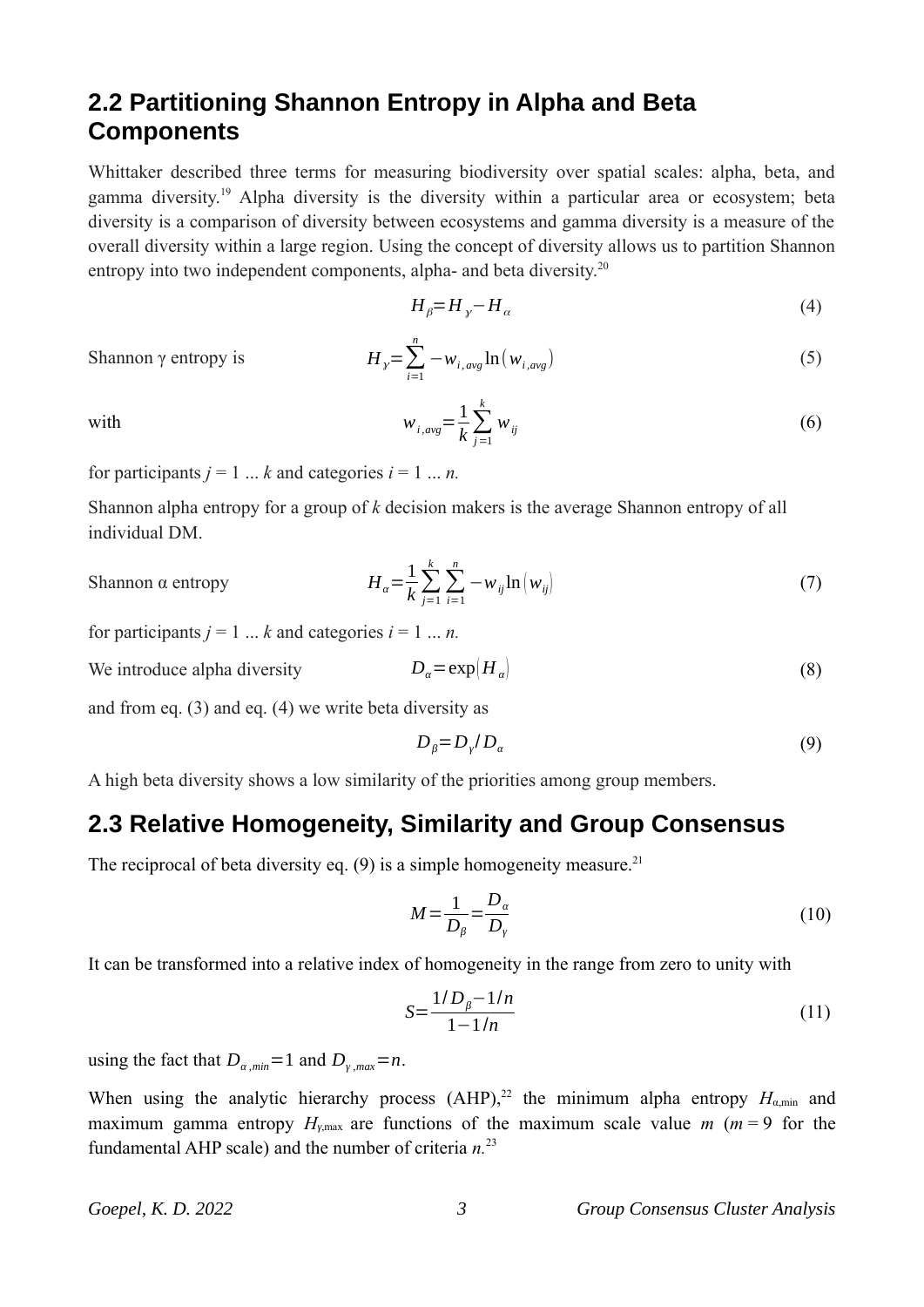### **2.2 Partitioning Shannon Entropy in Alpha and Beta Components**

Whittaker described three terms for measuring biodiversity over spatial scales: alpha, beta, and gamma diversity.<sup>19</sup> Alpha diversity is the diversity within a particular area or ecosystem; beta diversity is a comparison of diversity between ecosystems and gamma diversity is a measure of the overall diversity within a large region. Using the concept of diversity allows us to partition Shannon entropy into two independent components, alpha- and beta diversity.<sup>20</sup>

$$
H_{\beta} = H_{\gamma} - H_{\alpha} \tag{4}
$$

Shannon γ entropy is *H* 

$$
H_{y} = \sum_{i=1}^{n} -w_{i, avg} \ln(w_{i, avg})
$$
\n(5)

with  $w_{i,avg} = \frac{1}{k} \sum_{j=1}^{k}$ *k*  $w_{ij}$  (6)

for participants  $j = 1 ... k$  and categories  $i = 1 ... n$ .

Shannon alpha entropy for a group of *k* decision makers is the average Shannon entropy of all individual DM.

#### Shannon α entropy *Hα*=

$$
H_{\alpha} = \frac{1}{k} \sum_{j=1}^{k} \sum_{i=1}^{n} -w_{ij} \ln(w_{ij})
$$
\n(7)

for participants  $j = 1 ... k$  and categories  $i = 1 ... n$ .

We introduce alpha diversity  $D_{\alpha} = \exp(H_{\alpha})$  (8)

and from eq. (3) and eq. (4) we write beta diversity as

$$
D_{\beta} = D_{\gamma} / D_{\alpha} \tag{9}
$$

A high beta diversity shows a low similarity of the priorities among group members.

#### **2.3 Relative Homogeneity, Similarity and Group Consensus**

The reciprocal of beta diversity eq.  $(9)$  is a simple homogeneity measure.<sup>21</sup>

$$
M = \frac{1}{D_{\beta}} = \frac{D_{\alpha}}{D_{\gamma}}
$$
\n(10)

It can be transformed into a relative index of homogeneity in the range from zero to unity with

$$
S = \frac{1/D_{\beta} - 1/n}{1 - 1/n} \tag{11}
$$

using the fact that  $D_{a,min} = 1$  and  $D_{y,max} = n$ .

When using the analytic hierarchy process  $(AHP)$ ,<sup>22</sup> the minimum alpha entropy  $H_{\alpha, min}$  and maximum gamma entropy  $H_{\gamma,\text{max}}$  are functions of the maximum scale value *m* (*m* = 9 for the fundamental AHP scale) and the number of criteria *n.*<sup>23</sup>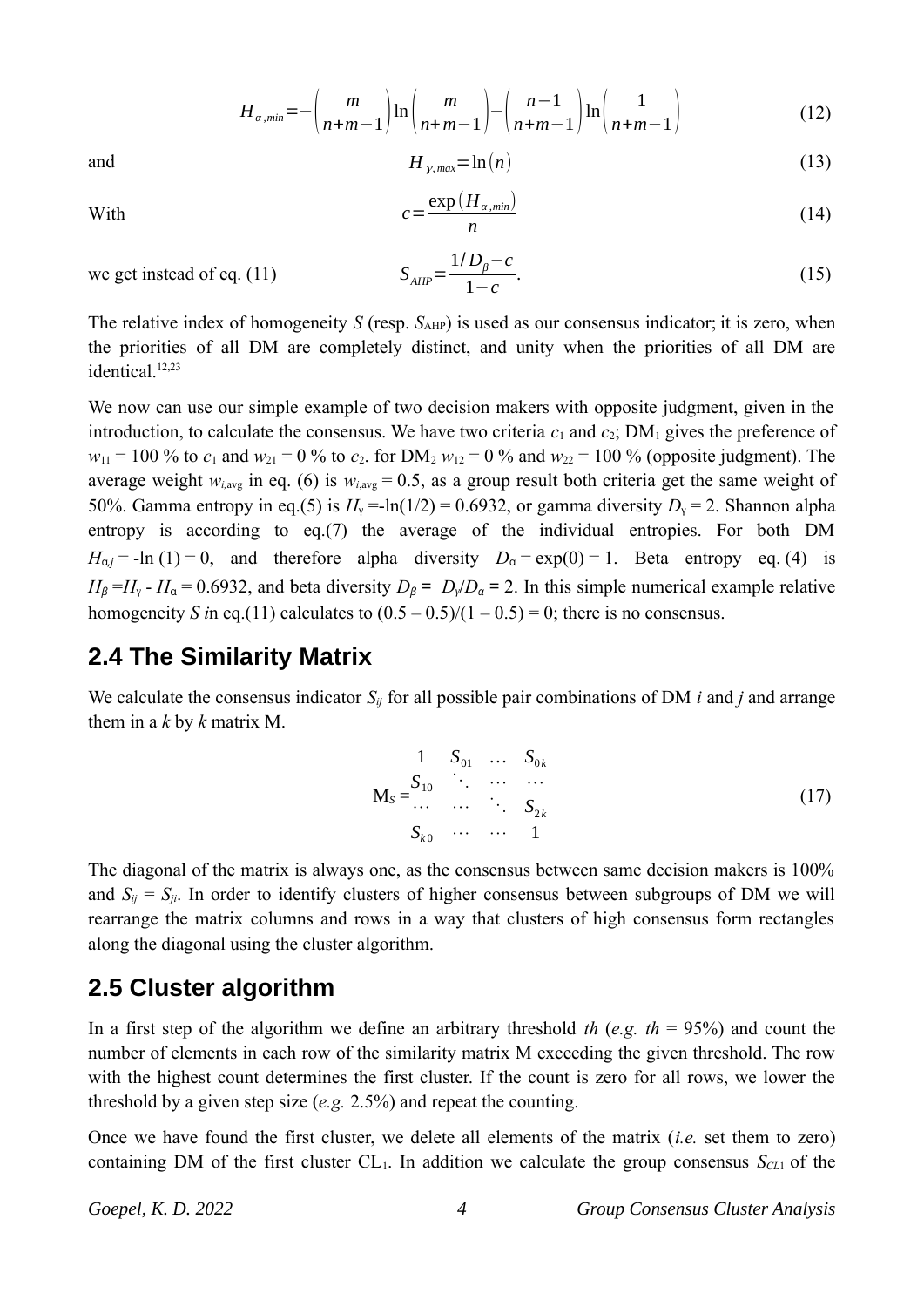$$
H_{\alpha,min} = -\left(\frac{m}{n+m-1}\right) \ln\left(\frac{m}{n+m-1}\right) - \left(\frac{n-1}{n+m-1}\right) \ln\left(\frac{1}{n+m-1}\right) \tag{12}
$$

and 
$$
H_{\gamma, max} = \ln(n) \tag{13}
$$

With 
$$
c =
$$

$$
=\frac{\exp\left(H_{\alpha,min}\right)}{n}\tag{14}
$$

we get instead of eq. (11) 
$$
S_{AHP} =
$$

$$
S_{AHP} = \frac{1/D_{\beta} - c}{1 - c}.
$$
\n(15)

The relative index of homogeneity *S* (resp. *S*<sub>AHP</sub>) is used as our consensus indicator; it is zero, when the priorities of all DM are completely distinct, and unity when the priorities of all DM are identical<sup>12,23</sup>

We now can use our simple example of two decision makers with opposite judgment, given in the introduction, to calculate the consensus. We have two criteria  $c_1$  and  $c_2$ ; DM<sub>1</sub> gives the preference of  $w_{11} = 100 \%$  to  $c_1$  and  $w_{21} = 0 \%$  to  $c_2$ . for DM<sub>2</sub>  $w_{12} = 0 \%$  and  $w_{22} = 100 \%$  (opposite judgment). The average weight  $w_{i,avg}$  in eq. (6) is  $w_{i,avg} = 0.5$ , as a group result both criteria get the same weight of 50%. Gamma entropy in eq.(5) is  $H_y = \ln(1/2) = 0.6932$ , or gamma diversity  $D_y = 2$ . Shannon alpha entropy is according to eq.(7) the average of the individual entropies. For both DM  $H_{\alpha j}$  = -ln (1) = 0, and therefore alpha diversity  $D_{\alpha}$  = exp(0) = 1. Beta entropy eq. (4) is  $H_{\beta} = H_{\gamma} - H_{\alpha} = 0.6932$ , and beta diversity  $D_{\beta} = D_{\gamma}/D_{\alpha} = 2$ . In this simple numerical example relative homogeneity *S* in eq.(11) calculates to  $(0.5 - 0.5)/(1 - 0.5) = 0$ ; there is no consensus.

#### **2.4 The Similarity Matrix**

We calculate the consensus indicator *Sij* for all possible pair combinations of DM *i* and *j* and arrange them in a *k* by *k* matrix M.

$$
M_{S} = \begin{matrix} S_{10} & \cdots & S_{0k} \\ \vdots & \vdots & \cdots & \vdots \\ S_{k0} & \cdots & \cdots & S_{2k} \end{matrix}
$$
 (17)

The diagonal of the matrix is always one, as the consensus between same decision makers is 100% and  $S_{ij} = S_{ji}$ . In order to identify clusters of higher consensus between subgroups of DM we will rearrange the matrix columns and rows in a way that clusters of high consensus form rectangles along the diagonal using the cluster algorithm.

#### **2.5 Cluster algorithm**

In a first step of the algorithm we define an arbitrary threshold *th* (*e.g. th* = 95%) and count the number of elements in each row of the similarity matrix M exceeding the given threshold. The row with the highest count determines the first cluster. If the count is zero for all rows, we lower the threshold by a given step size (*e.g.* 2.5%) and repeat the counting.

Once we have found the first cluster, we delete all elements of the matrix (*i.e.* set them to zero) containing DM of the first cluster  $CL_1$ . In addition we calculate the group consensus  $S<sub>CL1</sub>$  of the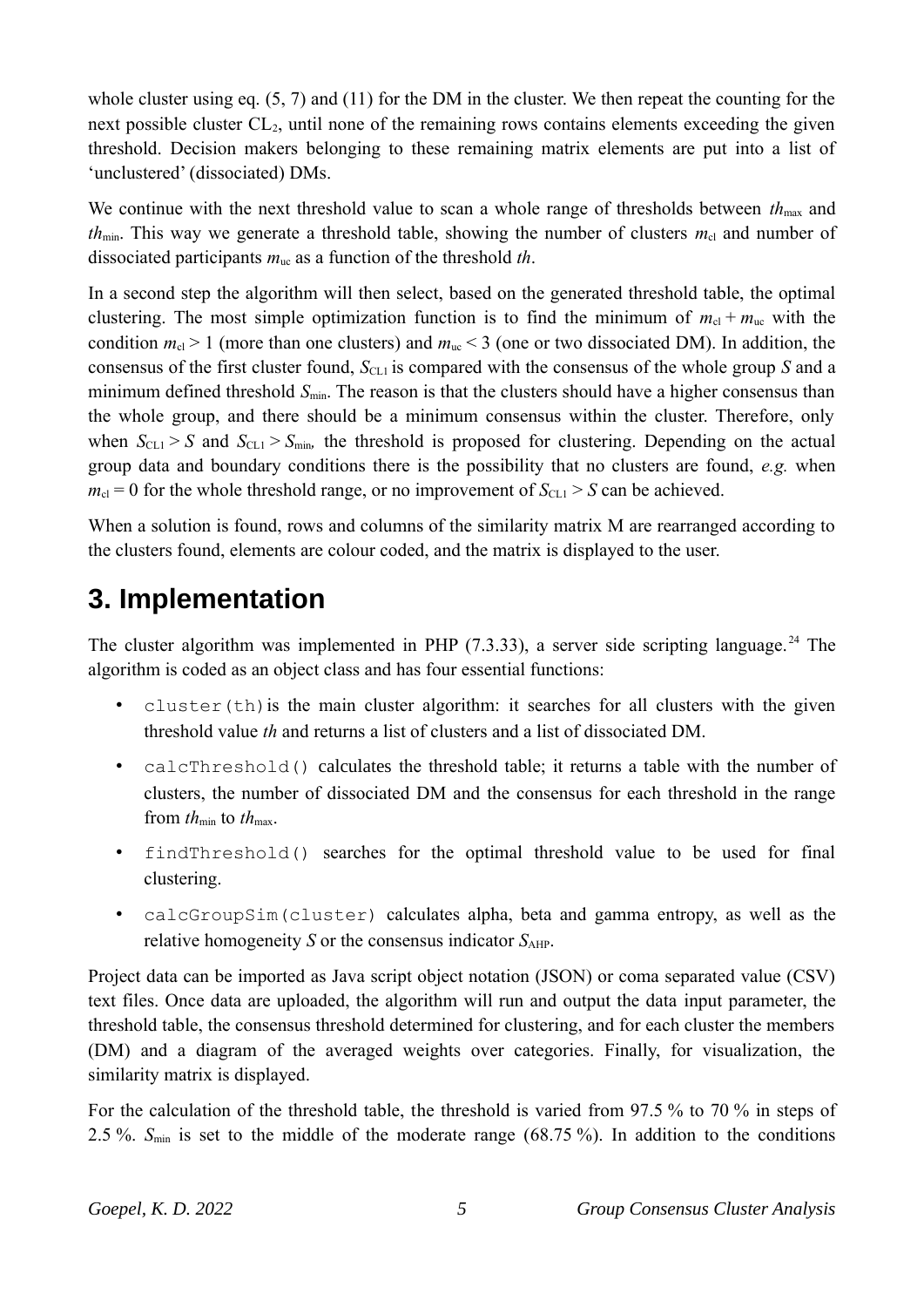whole cluster using eq. (5, 7) and (11) for the DM in the cluster. We then repeat the counting for the next possible cluster  $CL<sub>2</sub>$ , until none of the remaining rows contains elements exceeding the given threshold. Decision makers belonging to these remaining matrix elements are put into a list of 'unclustered' (dissociated) DMs.

We continue with the next threshold value to scan a whole range of thresholds between  $th_{\text{max}}$  and *th*<sub>min</sub>. This way we generate a threshold table, showing the number of clusters  $m_{cl}$  and number of dissociated participants *m*uc as a function of the threshold *th*.

In a second step the algorithm will then select, based on the generated threshold table, the optimal clustering. The most simple optimization function is to find the minimum of  $m_{cl} + m_{uc}$  with the condition  $m_{\rm cl} > 1$  (more than one clusters) and  $m_{\rm uc} < 3$  (one or two dissociated DM). In addition, the consensus of the first cluster found,  $S_{CL1}$  is compared with the consensus of the whole group *S* and a minimum defined threshold  $S_{min}$ . The reason is that the clusters should have a higher consensus than the whole group, and there should be a minimum consensus within the cluster. Therefore, only when  $S_{CL1} > S$  and  $S_{CL1} > S_{min}$ , the threshold is proposed for clustering. Depending on the actual group data and boundary conditions there is the possibility that no clusters are found, *e.g.* when  $m_{\text{cl}} = 0$  for the whole threshold range, or no improvement of  $S_{\text{CL1}} > S$  can be achieved.

When a solution is found, rows and columns of the similarity matrix M are rearranged according to the clusters found, elements are colour coded, and the matrix is displayed to the user.

# **3. Implementation**

The cluster algorithm was implemented in PHP  $(7.3.33)$ , a server side scripting language.<sup>24</sup> The algorithm is coded as an object class and has four essential functions:

- $\bullet$  cluster(th) is the main cluster algorithm: it searches for all clusters with the given threshold value *th* and returns a list of clusters and a list of dissociated DM.
- calcThreshold() calculates the threshold table; it returns a table with the number of clusters, the number of dissociated DM and the consensus for each threshold in the range from  $th_{\min}$  to  $th_{\max}$ .
- findThreshold() searches for the optimal threshold value to be used for final clustering.
- calcGroupSim(cluster) calculates alpha, beta and gamma entropy, as well as the relative homogeneity *S* or the consensus indicator  $S_{\text{AHP}}$ .

Project data can be imported as Java script object notation (JSON) or coma separated value (CSV) text files. Once data are uploaded, the algorithm will run and output the data input parameter, the threshold table, the consensus threshold determined for clustering, and for each cluster the members (DM) and a diagram of the averaged weights over categories. Finally, for visualization, the similarity matrix is displayed.

For the calculation of the threshold table, the threshold is varied from 97.5 % to 70 % in steps of 2.5 %. *S*min is set to the middle of the moderate range (68.75 %). In addition to the conditions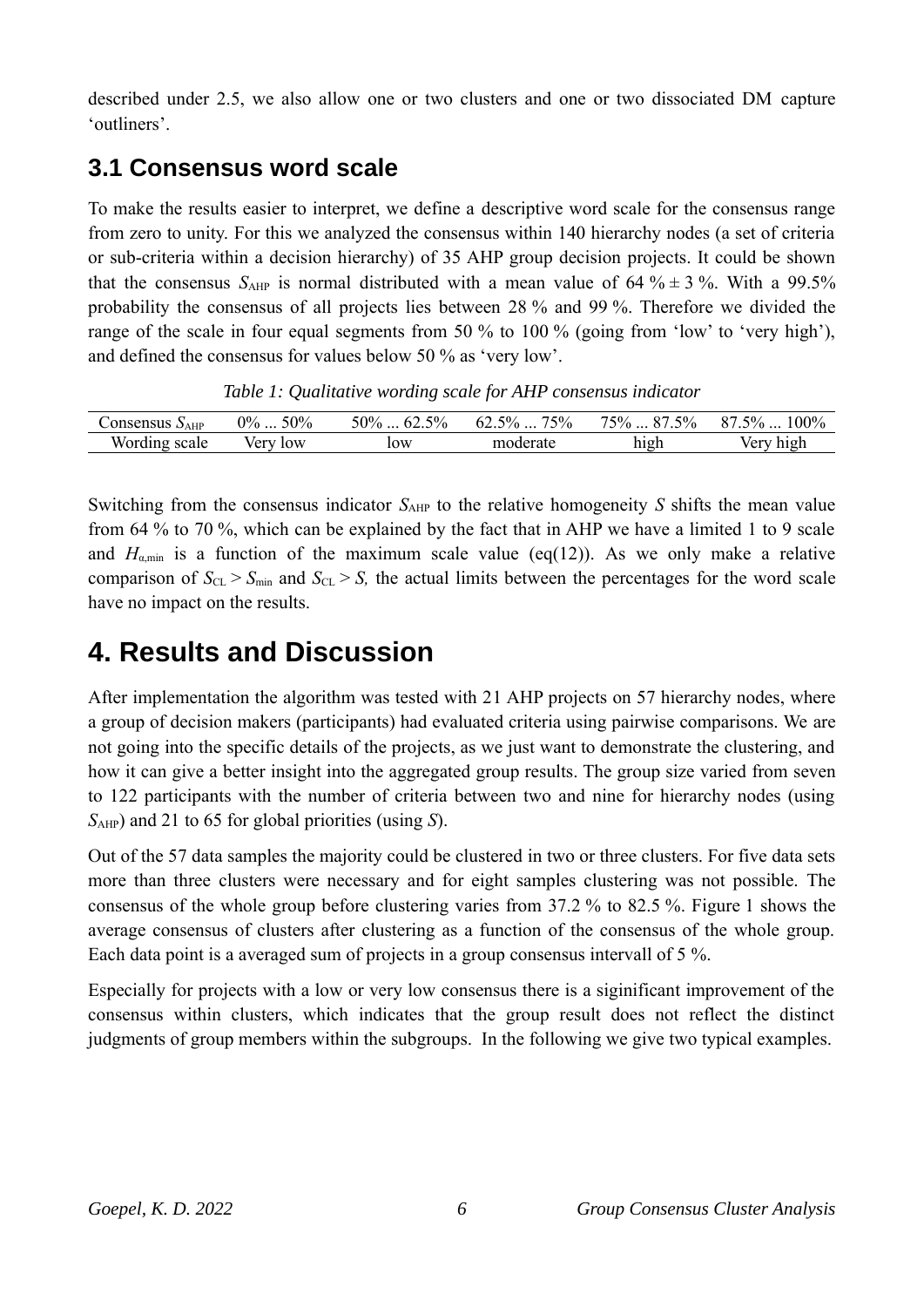described under 2.5, we also allow one or two clusters and one or two dissociated DM capture 'outliners'.

### **3.1 Consensus word scale**

To make the results easier to interpret, we define a descriptive word scale for the consensus range from zero to unity. For this we analyzed the consensus within 140 hierarchy nodes (a set of criteria or sub-criteria within a decision hierarchy) of 35 AHP group decision projects. It could be shown that the consensus  $S_{\text{AHP}}$  is normal distributed with a mean value of 64 %  $\pm$  3 %. With a 99.5% probability the consensus of all projects lies between 28 % and 99 %. Therefore we divided the range of the scale in four equal segments from 50 % to 100 % (going from 'low' to 'very high'), and defined the consensus for values below 50 % as 'very low'.

*Table 1: Qualitative wording scale for AHP consensus indicator*

| consensus<br>$\Delta$ AHP      | 50%<br>$0\%$      | 5%<br>50% | 75%<br>$5\%$<br>$0\angle$ . | 750/<br>5%<br>$\sim$ | $00\%$<br>$\sigma$ <sup>-0</sup> / <sub>0</sub><br>n m<br>70 |
|--------------------------------|-------------------|-----------|-----------------------------|----------------------|--------------------------------------------------------------|
| <b>TTT</b><br>scale<br>WOI'UL. | low<br>$1/\rho$ r | 10W       | moderate                    | high                 | ver<br>high                                                  |

Switching from the consensus indicator  $S_{AHP}$  to the relative homogeneity *S* shifts the mean value from 64 % to 70 %, which can be explained by the fact that in AHP we have a limited 1 to 9 scale and  $H_{\text{amin}}$  is a function of the maximum scale value (eq(12)). As we only make a relative comparison of  $S_{CL} > S_{min}$  and  $S_{CL} > S$ , the actual limits between the percentages for the word scale have no impact on the results.

# **4. Results and Discussion**

After implementation the algorithm was tested with 21 AHP projects on 57 hierarchy nodes, where a group of decision makers (participants) had evaluated criteria using pairwise comparisons. We are not going into the specific details of the projects, as we just want to demonstrate the clustering, and how it can give a better insight into the aggregated group results. The group size varied from seven to 122 participants with the number of criteria between two and nine for hierarchy nodes (using *S*AHP) and 21 to 65 for global priorities (using *S*).

Out of the 57 data samples the majority could be clustered in two or three clusters. For five data sets more than three clusters were necessary and for eight samples clustering was not possible. The consensus of the whole group before clustering varies from 37.2 % to 82.5 %. Figure 1 shows the average consensus of clusters after clustering as a function of the consensus of the whole group. Each data point is a averaged sum of projects in a group consensus intervall of 5 %.

Especially for projects with a low or very low consensus there is a siginificant improvement of the consensus within clusters, which indicates that the group result does not reflect the distinct judgments of group members within the subgroups. In the following we give two typical examples.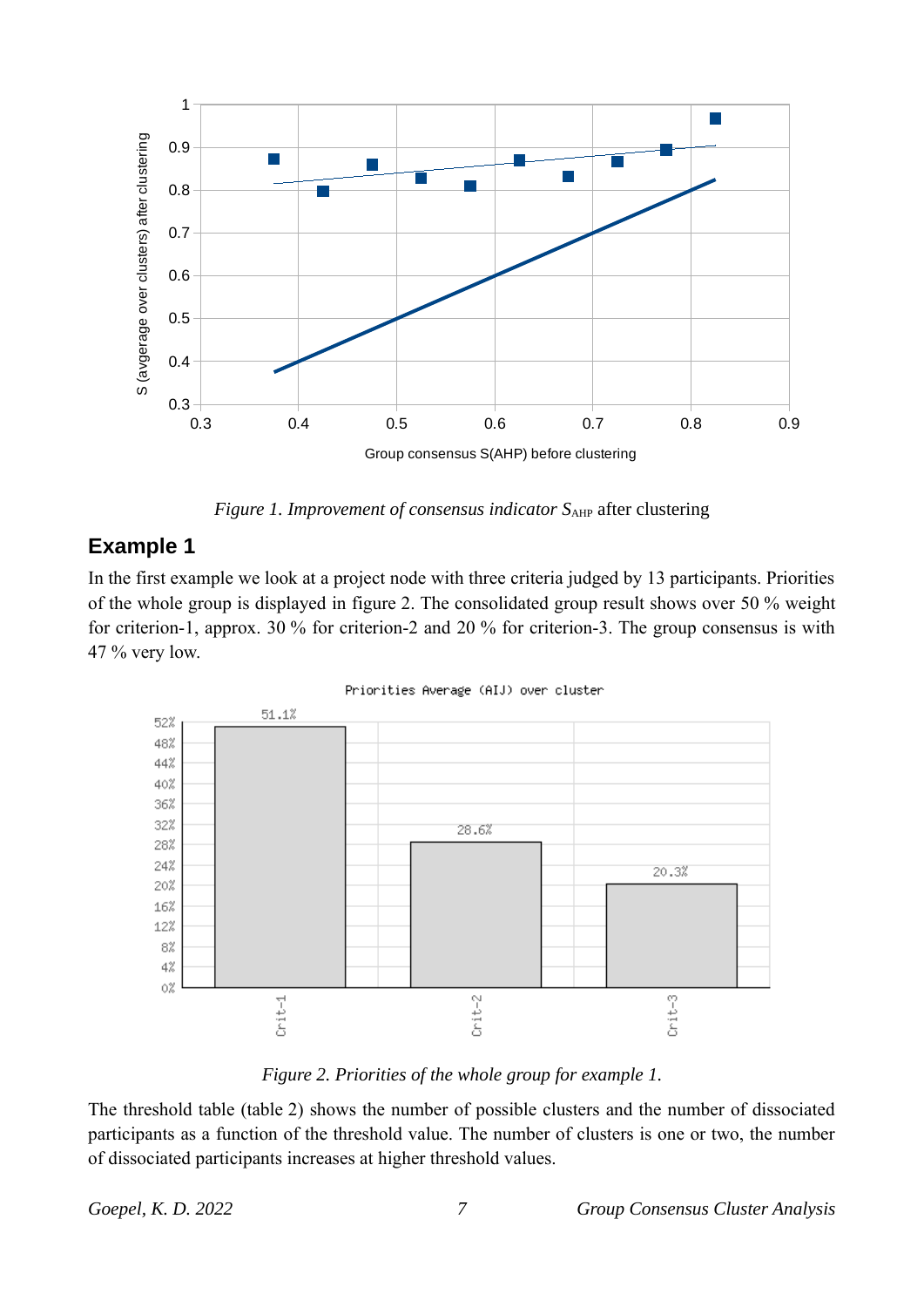

*Figure 1. Improvement of consensus indicator*  $S_{AHP}$  after clustering

#### **Example 1**

In the first example we look at a project node with three criteria judged by 13 participants. Priorities of the whole group is displayed in figure 2. The consolidated group result shows over 50 % weight for criterion-1, approx. 30 % for criterion-2 and 20 % for criterion-3. The group consensus is with  $47\%$  very low.



Priorities Average (AIJ) over cluster

*Figure 2. Priorities of the whole group for example 1.*

The threshold table (table 2) shows the number of possible clusters and the number of dissociated participants as a function of the threshold value. The number of clusters is one or two, the number of dissociated participants increases at higher threshold values.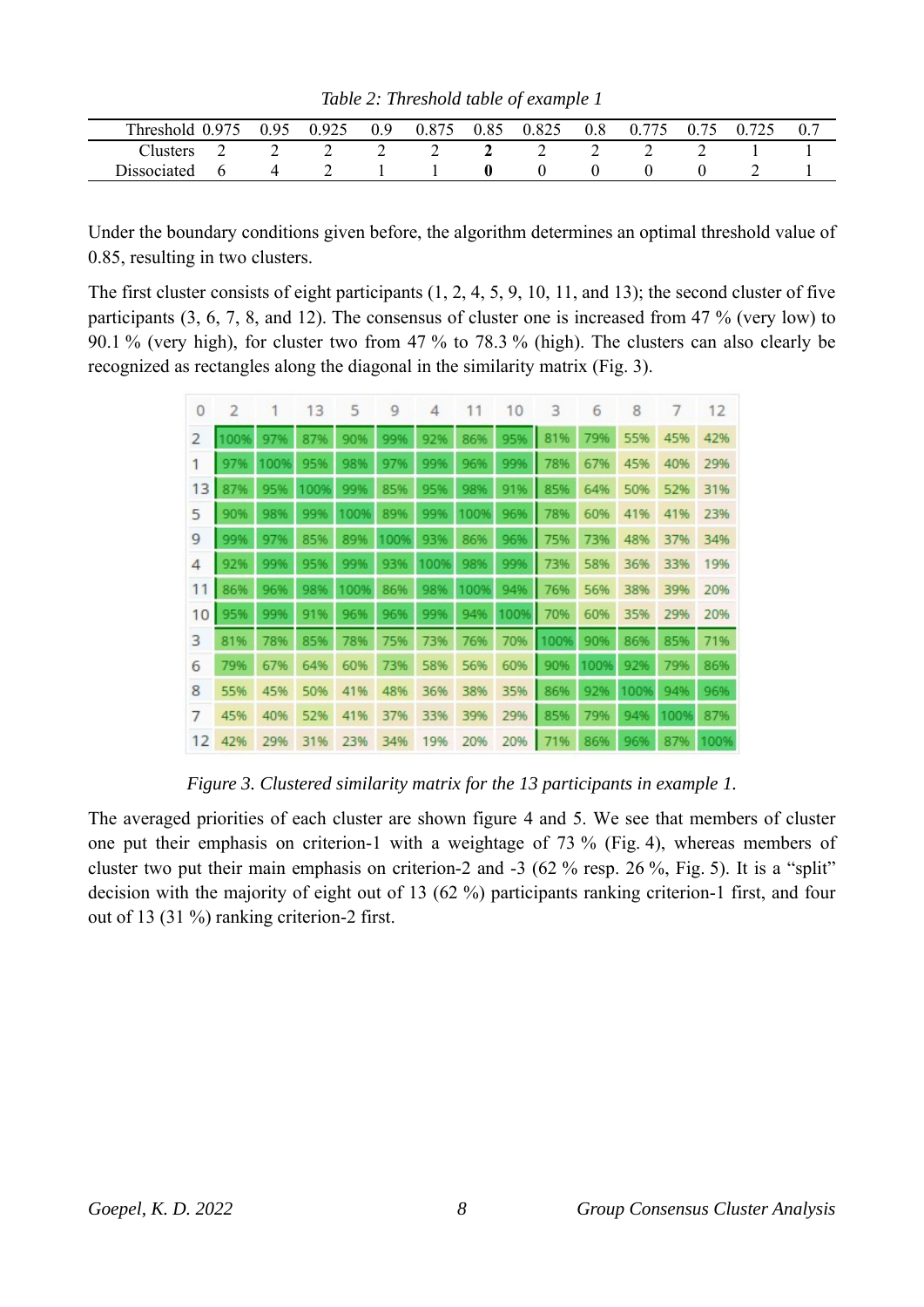| Threshold 0.975 | 0.95 | 0.925 | 0.9 | 0.875 | 0.85 0.825 | 0.8 0.775 0.75 0.725 |  |  |
|-----------------|------|-------|-----|-------|------------|----------------------|--|--|
| Clusters.       |      |       |     |       |            |                      |  |  |
| Dissociated     |      |       |     |       |            |                      |  |  |

*Table 2: Threshold table of example 1*

Under the boundary conditions given before, the algorithm determines an optimal threshold value of 0.85, resulting in two clusters.

The first cluster consists of eight participants (1, 2, 4, 5, 9, 10, 11, and 13); the second cluster of five participants (3, 6, 7, 8, and 12). The consensus of cluster one is increased from 47 % (very low) to 90.1 % (very high), for cluster two from 47 % to 78.3 % (high). The clusters can also clearly be recognized as rectangles along the diagonal in the similarity matrix (Fig. 3).

| $\theta$       |      |      | 13   | 5    | 9    | 4        | 11   | 10       | 3        | 6    | 8    | 7    | 12   |
|----------------|------|------|------|------|------|----------|------|----------|----------|------|------|------|------|
| $\overline{2}$ | 100% | 97%  | 87%  | 90%  | 99%  | 92%      | 86%  | 95%      | ı<br>81% | 79%  | 55%  | 45%  | 42%  |
| 1              | 97%  | 100% | 95%  | 98%  | 97%  | 99%      | 96%  | 99%      | 78%      | 67%  | 45%  | 40%  | 29%  |
| 13             | 87%  | 95%  | 100% | 99%  | 85%  | 95%      | 98%  | 91%      | ı<br>85% | 64%  | 50%  | 52%  | 31%  |
| 5              | 90%  | 98%  | 99%  | 100% | 89%  | 99%      | 100% | 96%      | 78%      | 60%  | 41%  | 41%  | 23%  |
| 9              | 99%  | 97%  | 85%  | 89%  | 100% | 93%      | 86%  | 96%      | 75%      | 73%  | 48%  | 37%  | 34%  |
| 4              | 92%  | 99%  | 95%  | 99%  |      | 93% 100% | 98%  | 99%      | 73%      | 58%  | 36%  | 33%  | 19%  |
| 11             | 86%  | 96%  | 98%  | 100% | 86%  | 98%      | 100% | 94%      | 76%      | 56%  | 38%  | 39%  | 20%  |
| 10             | 95%  | 99%  | 91%  | 96%  | 96%  | 99%      | 94%  | 100% 70% |          | 60%  | 35%  | 29%  | 20%  |
| 3              | 81%  | 78%  | 85%  | 78%  | 75%  | 73%      | 76%  |          | 70% 100% | 90%  | 86%  | 85%  | 71%  |
| 6              | 79%  | 67%  | 64%  | 60%  | 73%  | 58%      | 56%  | 60%      | 90%      | 100% | 92%  | 79%  | 86%  |
| 8              | 55%  | 45%  | 50%  | 41%  | 48%  | 36%      | 38%  | 35%      | 86%      | 92%  | 100% | 94%  | 96%  |
| 7              | 45%  | 40%  | 52%  | 41%  | 37%  | 33%      | 39%  | 4<br>29% | 85%      | 79%  | 94%  | 100% | 87%  |
| 12             | 42%  | 29%  | 31%  | 23%  | 34%  | 19%      | 20%  | 20%      | 71%      | 86%  | 96%  | 87%  | 100% |

*Figure 3. Clustered similarity matrix for the 13 participants in example 1.*

The averaged priorities of each cluster are shown figure 4 and 5. We see that members of cluster one put their emphasis on criterion-1 with a weightage of 73 % (Fig. 4), whereas members of cluster two put their main emphasis on criterion-2 and -3 (62 % resp. 26 %, Fig. 5). It is a "split" decision with the majority of eight out of 13 (62 %) participants ranking criterion-1 first, and four out of 13 (31 %) ranking criterion-2 first.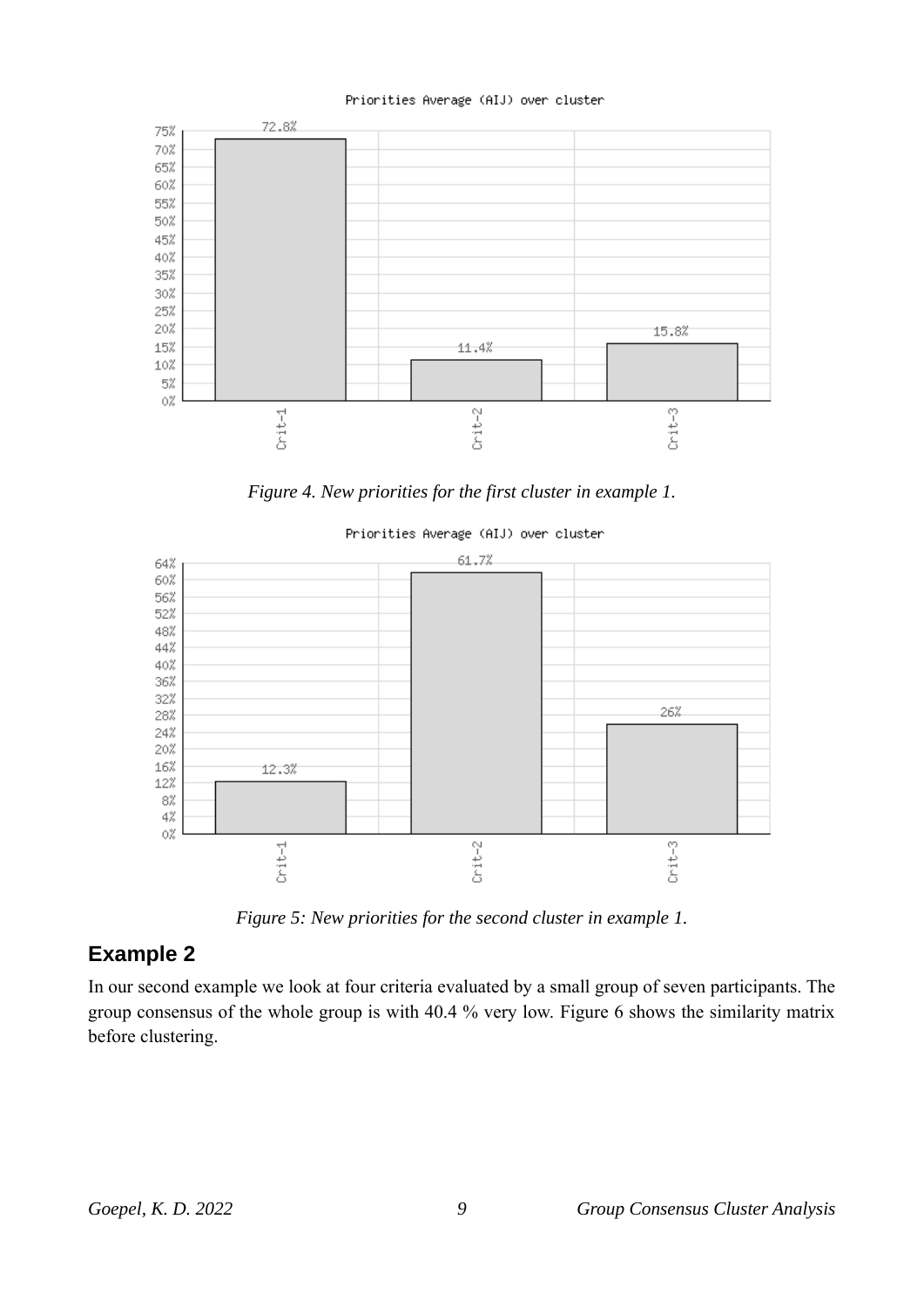#### Priorities Average (AIJ) over cluster



*Figure 4. New priorities for the first cluster in example 1.*



*Figure 5: New priorities for the second cluster in example 1.*

#### **Example 2**

In our second example we look at four criteria evaluated by a small group of seven participants. The group consensus of the whole group is with 40.4 % very low. Figure 6 shows the similarity matrix before clustering.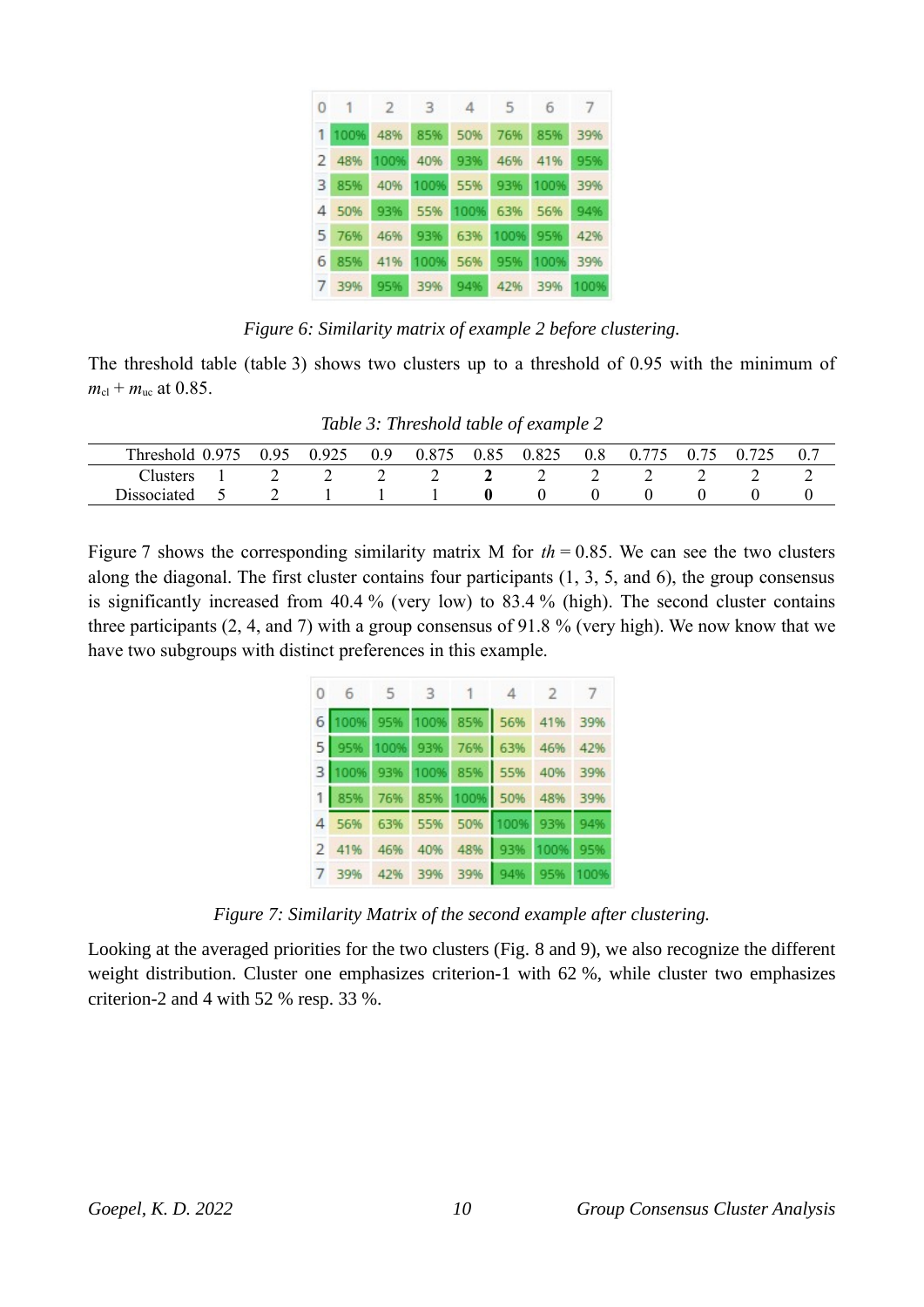| 0 | $\overline{1}$ | $\overline{2}$ | 3    | $\Delta$ | - 5  | - 6      | 7    |
|---|----------------|----------------|------|----------|------|----------|------|
|   | 1 100%         | 48%            | 85%  | 50%      | 76%  | 85%      | 39%  |
|   | 2 48%          | 100%           | 40%  | 93%      | 46%  | 41%      | 95%  |
| 3 | 85%            | 40%            | 100% | 55%      | 93%  | 100%     | 39%  |
|   | 4 50%          | 93%            | 55%  | 100%     | 63%  | 56%      | 94%  |
|   | 5 76%          | 46%            | 93%  | 63%      | 100% | 95%      | 42%  |
| 6 | 85%            | 41%            | 100% | 56%      | 95%  | 100% 39% |      |
|   | 39%            | 95%            | 39%  | 94%      | 42%  | 39%      | 100% |

*Figure 6: Similarity matrix of example 2 before clustering.*

The threshold table (table 3) shows two clusters up to a threshold of 0.95 with the minimum of  $m_{\rm cl} + m_{\rm uc}$  at 0.85.

| Table 3: Threshold table of example 2 |
|---------------------------------------|
|---------------------------------------|

| mı<br>Threshe <sup>-</sup> | $Q^2$ | 925<br>0.7<br>ں سے ' | 0.9 | 075 | 0.85 | 0.025<br>U.82J | 0.8 | $U_{\tau}$ | v. | 72c | 0.7 |
|----------------------------|-------|----------------------|-----|-----|------|----------------|-----|------------|----|-----|-----|
| <b>Lusters</b>             |       | ∸                    |     | -   |      | ∸              | -   | ∼          | ∼  | ∼   |     |
| Dissociated                |       |                      |     |     |      |                |     |            |    |     |     |

Figure 7 shows the corresponding similarity matrix M for  $th = 0.85$ . We can see the two clusters along the diagonal. The first cluster contains four participants (1, 3, 5, and 6), the group consensus is significantly increased from 40.4 % (very low) to 83.4 % (high). The second cluster contains three participants (2, 4, and 7) with a group consensus of 91.8 % (very high). We now know that we have two subgroups with distinct preferences in this example.

| 0 6 5 3 1 4 2 7                 |  |  |  |
|---------------------------------|--|--|--|
| 6 100% 95% 100% 85% 56% 41% 39% |  |  |  |
| 5 95% 100% 93% 76% 63% 46% 42%  |  |  |  |
| 3 100% 93% 100% 85% 55% 40% 39% |  |  |  |
| 1 85% 76% 85% 100% 50% 48% 39%  |  |  |  |
| 4 56% 63% 55% 50% 100% 93% 94%  |  |  |  |
| 2 41% 46% 40% 48% 93% 100% 95%  |  |  |  |
| 7 39% 42% 39% 39% 94% 95% 100%  |  |  |  |

*Figure 7: Similarity Matrix of the second example after clustering.*

Looking at the averaged priorities for the two clusters (Fig. 8 and 9), we also recognize the different weight distribution. Cluster one emphasizes criterion-1 with 62 %, while cluster two emphasizes criterion-2 and 4 with 52 % resp. 33 %.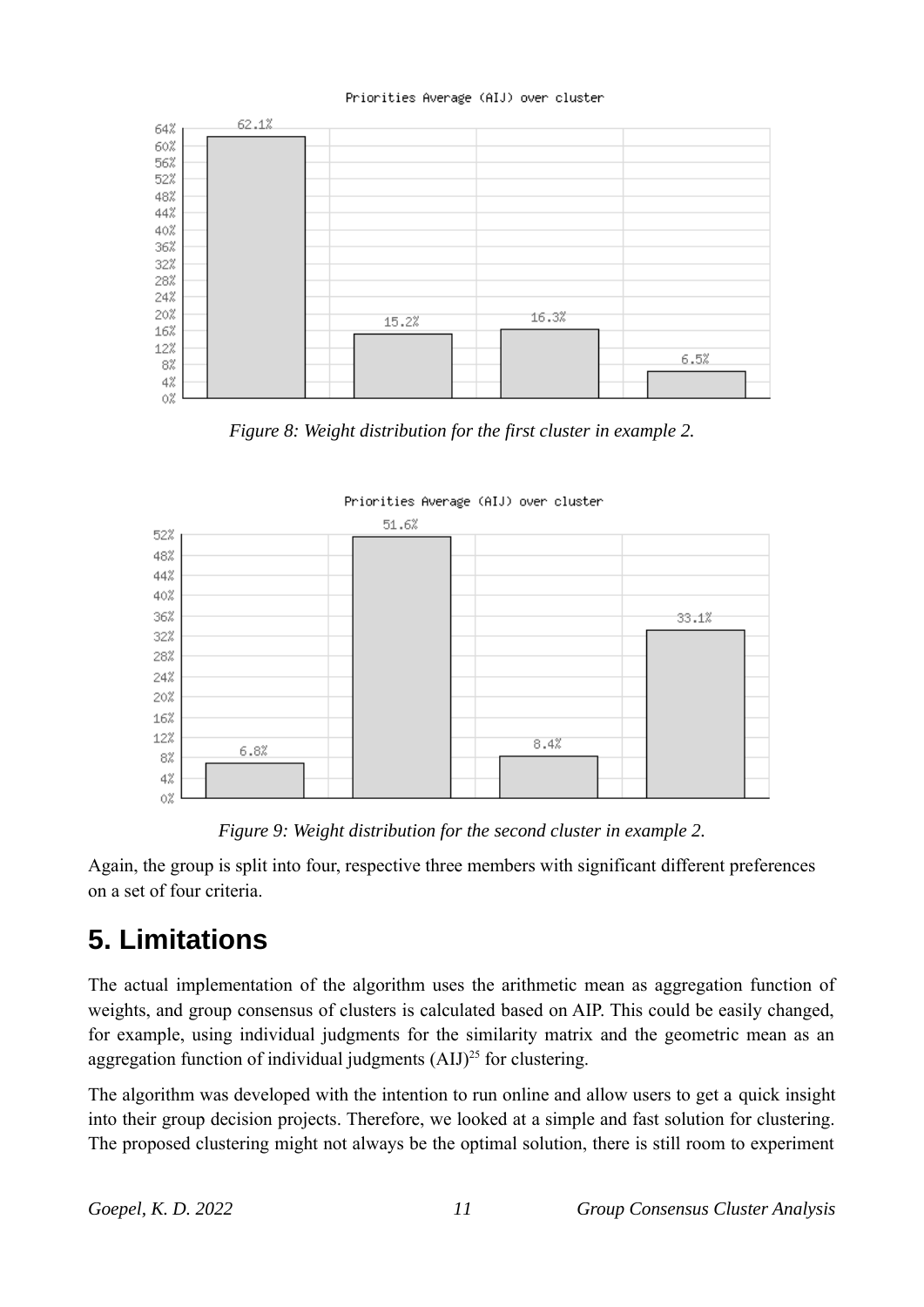#### Priorities Average (AIJ) over cluster



*Figure 8: Weight distribution for the first cluster in example 2.*



*Figure 9: Weight distribution for the second cluster in example 2.*

Again, the group is split into four, respective three members with significant different preferences on a set of four criteria.

# **5. Limitations**

The actual implementation of the algorithm uses the arithmetic mean as aggregation function of weights, and group consensus of clusters is calculated based on AIP. This could be easily changed, for example, using individual judgments for the similarity matrix and the geometric mean as an aggregation function of individual judgments  $(AIJ)^{25}$  for clustering.

The algorithm was developed with the intention to run online and allow users to get a quick insight into their group decision projects. Therefore, we looked at a simple and fast solution for clustering. The proposed clustering might not always be the optimal solution, there is still room to experiment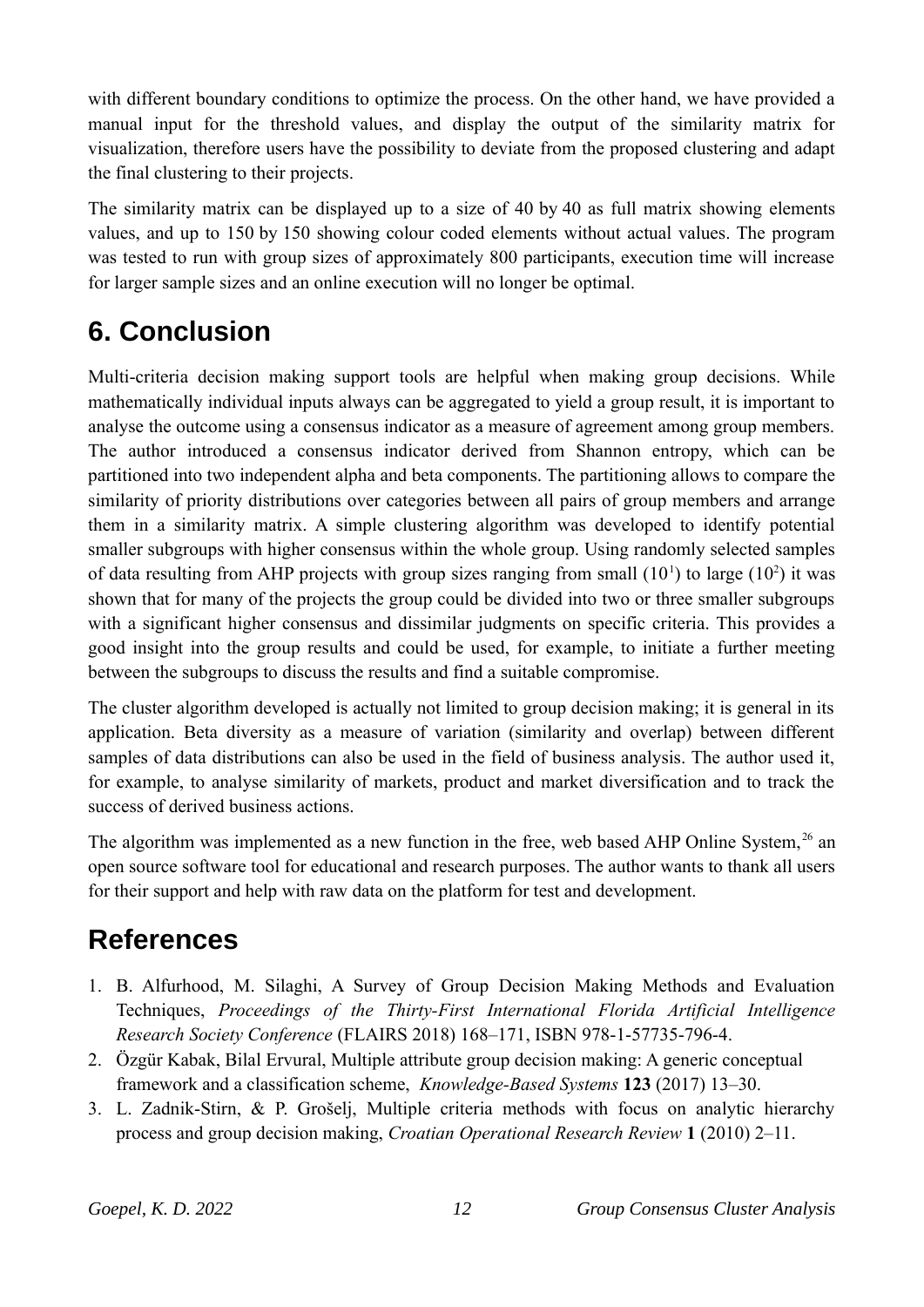with different boundary conditions to optimize the process. On the other hand, we have provided a manual input for the threshold values, and display the output of the similarity matrix for visualization, therefore users have the possibility to deviate from the proposed clustering and adapt the final clustering to their projects.

The similarity matrix can be displayed up to a size of 40 by 40 as full matrix showing elements values, and up to 150 by 150 showing colour coded elements without actual values. The program was tested to run with group sizes of approximately 800 participants, execution time will increase for larger sample sizes and an online execution will no longer be optimal.

# **6. Conclusion**

Multi-criteria decision making support tools are helpful when making group decisions. While mathematically individual inputs always can be aggregated to yield a group result, it is important to analyse the outcome using a consensus indicator as a measure of agreement among group members. The author introduced a consensus indicator derived from Shannon entropy, which can be partitioned into two independent alpha and beta components. The partitioning allows to compare the similarity of priority distributions over categories between all pairs of group members and arrange them in a similarity matrix. A simple clustering algorithm was developed to identify potential smaller subgroups with higher consensus within the whole group. Using randomly selected samples of data resulting from AHP projects with group sizes ranging from small  $(10<sup>1</sup>)$  to large  $(10<sup>2</sup>)$  it was shown that for many of the projects the group could be divided into two or three smaller subgroups with a significant higher consensus and dissimilar judgments on specific criteria. This provides a good insight into the group results and could be used, for example, to initiate a further meeting between the subgroups to discuss the results and find a suitable compromise.

The cluster algorithm developed is actually not limited to group decision making; it is general in its application. Beta diversity as a measure of variation (similarity and overlap) between different samples of data distributions can also be used in the field of business analysis. The author used it, for example, to analyse similarity of markets, product and market diversification and to track the success of derived business actions.

The algorithm was implemented as a new function in the free, web based AHP Online System,  $26$  an open source software tool for educational and research purposes. The author wants to thank all users for their support and help with raw data on the platform for test and development.

# **References**

- 1. B. Alfurhood, M. Silaghi, A Survey of Group Decision Making Methods and Evaluation Techniques, *Proceedings of the Thirty-First International Florida Artificial Intelligence Research Society Conference* (FLAIRS 2018) 168–171, ISBN 978-1-57735-796-4.
- 2. Özgür Kabak, Bilal Ervural, Multiple attribute group decision making: A generic conceptual framework and a classification scheme, *Knowledge-Based Systems* **123** (2017) 13–30.
- 3. L. Zadnik-Stirn, & P. Grošelj, Multiple criteria methods with focus on analytic hierarchy process and group decision making, *Croatian Operational Research Review* **1** (2010) 2–11.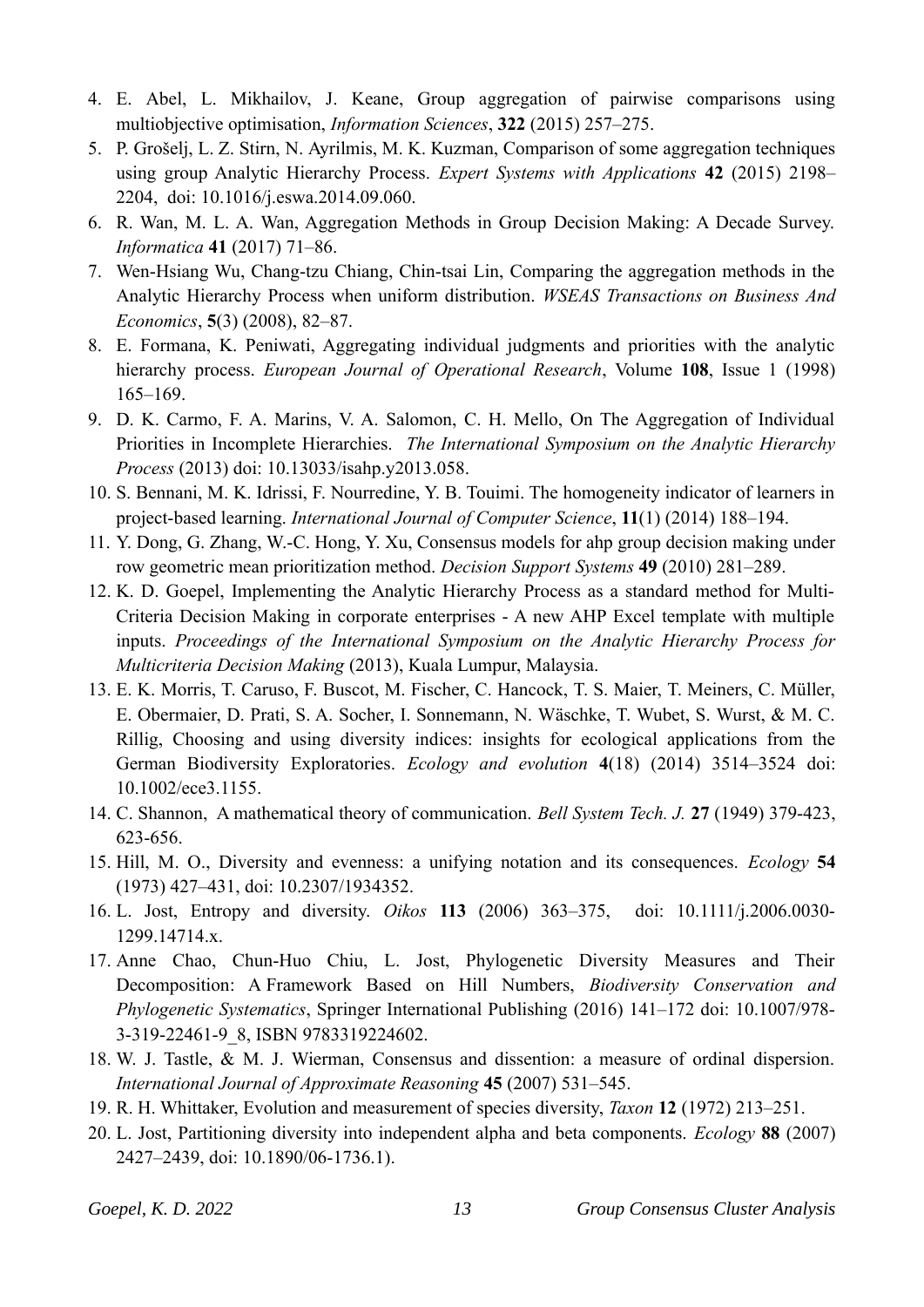- 4. E. Abel, L. Mikhailov, J. Keane, Group aggregation of pairwise comparisons using multiobjective optimisation, *Information Sciences*, **322** (2015) 257–275.
- 5. P. Grošelj, L. Z. Stirn, N. Ayrilmis, M. K. Kuzman, Comparison of some aggregation techniques using group Analytic Hierarchy Process. *Expert Systems with Applications* **42** (2015) 2198– 2204, doi: 10.1016/j.eswa.2014.09.060.
- 6. R. Wan, M. L. A. Wan, Aggregation Methods in Group Decision Making: A Decade Survey. *Informatica* **41** (2017) 71–86.
- 7. Wen-Hsiang Wu, Chang-tzu Chiang, Chin-tsai Lin, Comparing the aggregation methods in the Analytic Hierarchy Process when uniform distribution. *WSEAS Transactions on Business And Economics*, **5**(3) (2008), 82–87.
- 8. E. Formana, K. Peniwati, Aggregating individual judgments and priorities with the analytic hierarchy process. *European Journal of Operational Research*, Volume **108**, Issue 1 (1998) 165–169.
- 9. D. K. Carmo, F. A. Marins, V. A. Salomon, C. H. Mello, On The Aggregation of Individual Priorities in Incomplete Hierarchies. *The International Symposium on the Analytic Hierarchy Process* (2013) doi: 10.13033/isahp.y2013.058.
- 10. S. Bennani, M. K. Idrissi, F. Nourredine, Y. B. Touimi. The homogeneity indicator of learners in project-based learning. *International Journal of Computer Science*, **11**(1) (2014) 188–194.
- 11. Y. Dong, G. Zhang, W.-C. Hong, Y. Xu, Consensus models for ahp group decision making under row geometric mean prioritization method. *Decision Support Systems* **49** (2010) 281–289.
- 12. K. D. Goepel, Implementing the Analytic Hierarchy Process as a standard method for Multi-Criteria Decision Making in corporate enterprises - A new AHP Excel template with multiple inputs. *Proceedings of the International Symposium on the Analytic Hierarchy Process for Multicriteria Decision Making* (2013), Kuala Lumpur, Malaysia.
- 13. E. K. Morris, T. Caruso, F. Buscot, M. Fischer, C. Hancock, T. S. Maier, T. Meiners, C. Müller, E. Obermaier, D. Prati, S. A. Socher, I. Sonnemann, N. Wäschke, T. Wubet, S. Wurst, & M. C. Rillig, Choosing and using diversity indices: insights for ecological applications from the German Biodiversity Exploratories. *Ecology and evolution* **4**(18) (2014) 3514–3524 doi: 10.1002/ece3.1155.
- 14. C. Shannon, A mathematical theory of communication. *Bell System Tech. J.* **27** (1949) 379-423, 623-656.
- 15. Hill, M. O., Diversity and evenness: a unifying notation and its consequences. *Ecology* **54** (1973) 427–431, doi: 10.2307/1934352.
- 16. L. Jost, Entropy and diversity. *Oikos* **113** (2006) 363–375, doi: 10.1111/j.2006.0030- 1299.14714.x.
- 17. Anne Chao, Chun-Huo Chiu, L. Jost, Phylogenetic Diversity Measures and Their Decomposition: A Framework Based on Hill Numbers, *Biodiversity Conservation and Phylogenetic Systematics*, Springer International Publishing (2016) 141–172 doi: 10.1007/978- 3-319-22461-9\_8, ISBN 9783319224602.
- 18. W. J. Tastle, & M. J. Wierman, Consensus and dissention: a measure of ordinal dispersion. *International Journal of Approximate Reasoning* **45** (2007) 531–545.
- 19. R. H. Whittaker, Evolution and measurement of species diversity, *Taxon* **12** (1972) 213–251.
- 20. L. Jost, Partitioning diversity into independent alpha and beta components. *Ecology* **88** (2007) 2427–2439, doi: 10.1890/06-1736.1).